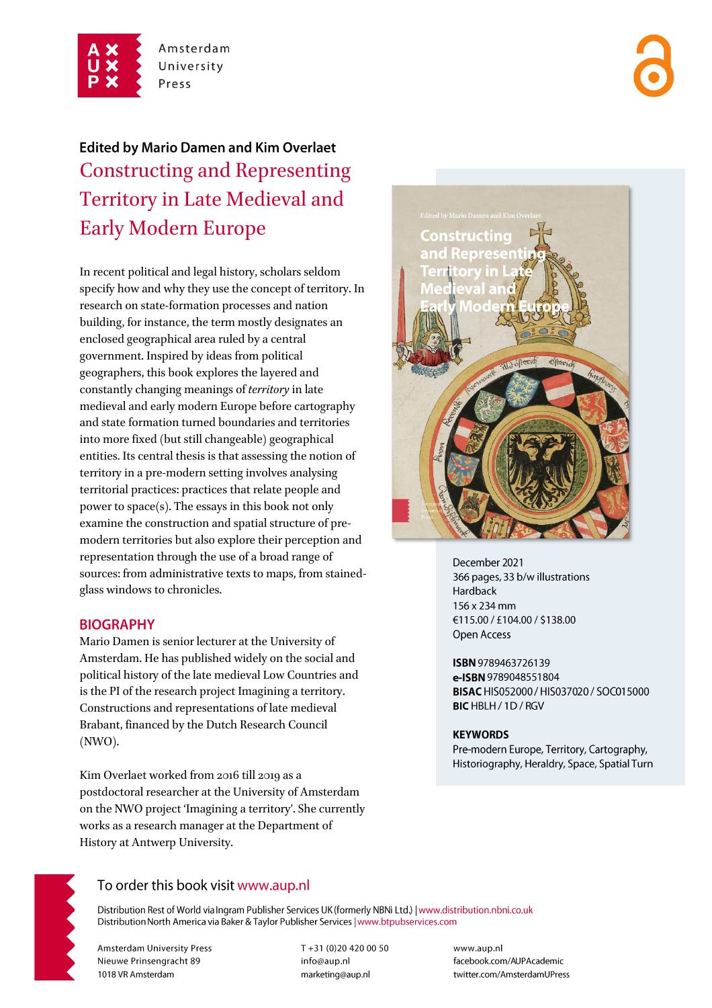

Amsterdam University Press

# **Edited by Mario Damen and Kim Overlaet** Constructing and Representing Territory in Late Medieval and Early Modern Europe

In recent political and legal history, scholars seldom specify how and why they use the concept of territory. In research on state-formation processes and nation building, for instance, the term mostly designates an enclosed geographical area ruled by a central government. Inspired by ideas from political geographers, this book explores the layered and constantly changing meanings of *territory* in late medieval and early modern Europe before cartography and state formation turned boundaries and territories into more fixed (but still changeable) geographical entities. Its central thesis is that assessing the notion of territory in a pre-modern setting involves analysing territorial practices: practices that relate people and power to space(s). The essays in this book not only examine the construction and spatial structure of premodern territories but also explore their perception and representation through the use of a broad range of sources: from administrative texts to maps, from stainedglass windows to chronicles.

#### **BIOGRAPHY**

Mario Damen is senior lecturer at the University of Amsterdam. He has published widely on the social and political history of the late medieval Low Countries and is the PI of the research project Imagining a territory. Constructions and representations of late medieval Brabant, financed by the Dutch Research Council (NWO).

Kim Overlaet worked from 2016 till 2019 as a postdoctoral researcher at the University of Amsterdam on the NWO project 'Imagining a territory'. She currently works as a research manager at the Department of History at Antwerp University.



December 2021 366 pages, 33 b/w illustrations **Hardback** 156 x 234 mm €115.00 / £104.00 / \$138.00 Open Access

ISBN 9789463726139 e-ISBN 9789048551804 BISAC HIS052000 / HIS037020 / SOC015000 BIC HBLH / 1D / RGV

#### **KEYWORDS**

Pre-modern Europe, Territory, Cartography, Historiography, Heraldry, Space, Spatial Turn



## To order this book visit www.aup.nl

Distribution Rest of World via Ingram Publisher Services UK (formerly NBNi Ltd.) | www.distribution.nbni.co.uk Distribution North America via Baker & Taylor Publisher Services | www.btpubservices.com

**Amsterdam University Press** Nieuwe Prinsengracht 89 1018 VR Amsterdam

T+31 (0)20 420 00 50 info@aup.nl marketing@aup.nl

www.aup.nl facebook.com/AUPAcademic twitter.com/AmsterdamUPress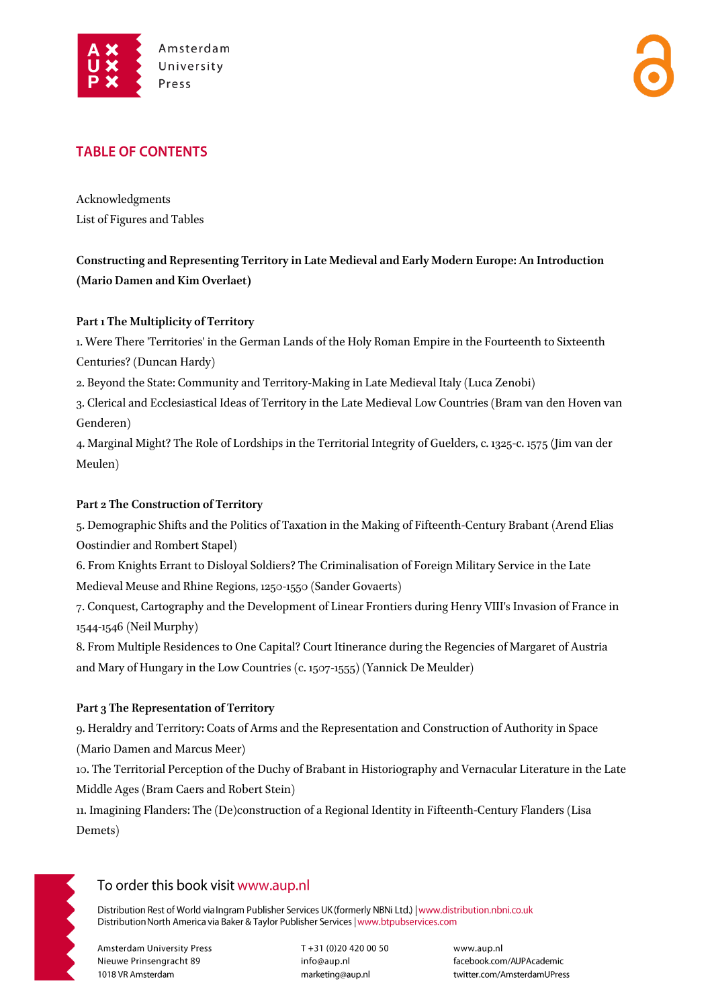

## **TABLE OF CONTENTS**

Acknowledgments List of Figures and Tables

## **Constructing and Representing Territory in Late Medieval and Early Modern Europe: An Introduction (Mario Damen and Kim Overlaet)**

#### **Part 1 The Multiplicity of Territory**

1. Were There 'Territories' in the German Lands of the Holy Roman Empire in the Fourteenth to Sixteenth Centuries? (Duncan Hardy)

2. Beyond the State: Community and Territory-Making in Late Medieval Italy (Luca Zenobi)

3. Clerical and Ecclesiastical Ideas of Territory in the Late Medieval Low Countries (Bram van den Hoven van Genderen)

4. Marginal Might? The Role of Lordships in the Territorial Integrity of Guelders, c. 1325-c. 1575 (Jim van der Meulen)

#### **Part 2 The Construction of Territory**

5. Demographic Shifts and the Politics of Taxation in the Making of Fifteenth-Century Brabant (Arend Elias Oostindier and Rombert Stapel)

6. From Knights Errant to Disloyal Soldiers? The Criminalisation of Foreign Military Service in the Late Medieval Meuse and Rhine Regions, 1250-1550 (Sander Govaerts)

7. Conquest, Cartography and the Development of Linear Frontiers during Henry VIII's Invasion of France in 1544-1546 (Neil Murphy)

8. From Multiple Residences to One Capital? Court Itinerance during the Regencies of Margaret of Austria and Mary of Hungary in the Low Countries (c. 1507-1555) (Yannick De Meulder)

#### **Part 3 The Representation of Territory**

9. Heraldry and Territory: Coats of Arms and the Representation and Construction of Authority in Space (Mario Damen and Marcus Meer)

10. The Territorial Perception of the Duchy of Brabant in Historiography and Vernacular Literature in the Late Middle Ages (Bram Caers and Robert Stein)

11. Imagining Flanders: The (De)construction of a Regional Identity in Fifteenth-Century Flanders (Lisa Demets)



## To order this book visit www.aup.nl

Distribution Rest of World via Ingram Publisher Services UK (formerly NBNi Ltd.) | www.distribution.nbni.co.uk Distribution North America via Baker & Taylor Publisher Services | www.btpubservices.com

**Amsterdam University Press** Nieuwe Prinsengracht 89 1018 VR Amsterdam

T+31 (0)20 420 00 50 info@aup.nl marketing@aup.nl

www.aup.nl facebook.com/AUPAcademic twitter.com/AmsterdamUPress